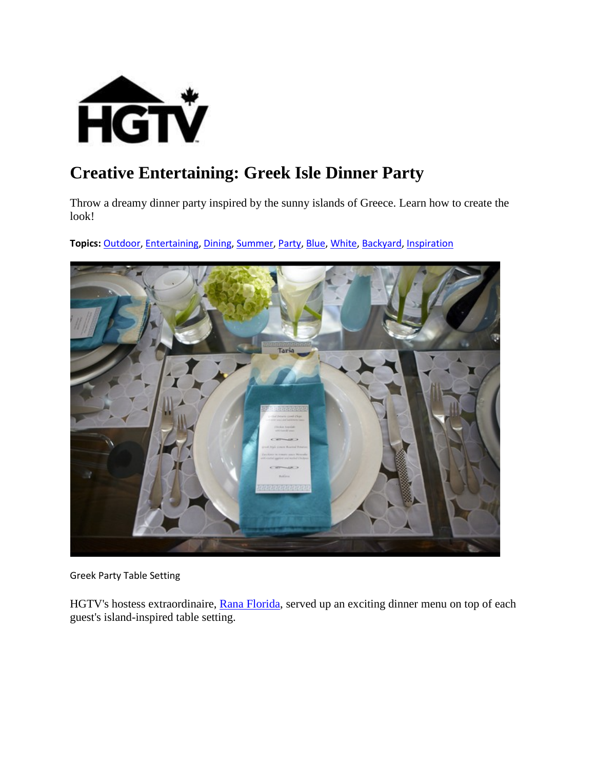

# **Creative Entertaining: Greek Isle Dinner Party**

Throw a dreamy dinner party inspired by the sunny islands of Greece. Learn how to create the look!

**Topics:** [Outdoor,](http://www.hgtv.ca/search/?nav=Ntk:all%7COutdoor%7C3%7C) [Entertaining,](http://www.hgtv.ca/search/?nav=Ntk:all%7CEntertaining%7C3%7C) [Dining,](http://www.hgtv.ca/search/?nav=Ntk:all%7CDining%7C3%7C) [Summer,](http://www.hgtv.ca/search/?nav=Ntk:all%7CSummer%7C3%7C) [Party,](http://www.hgtv.ca/search/?nav=Ntk:all%7CParty%7C3%7C) [Blue,](http://www.hgtv.ca/search/?nav=Ntk:all%7CBlue%7C3%7C) [White,](http://www.hgtv.ca/search/?nav=Ntk:all%7CWhite%7C3%7C) [Backyard,](http://www.hgtv.ca/search/?nav=Ntk:all%7CBackyard%7C3%7C) [Inspiration](http://www.hgtv.ca/search/?nav=Ntk:all%7CInspiration%7C3%7C)



Greek Party Table Setting

HGTV's hostess extraordinaire, [Rana Florida,](http://www.creativeclass.com/rana_florida) served up an exciting dinner menu on top of each guest's island-inspired table setting.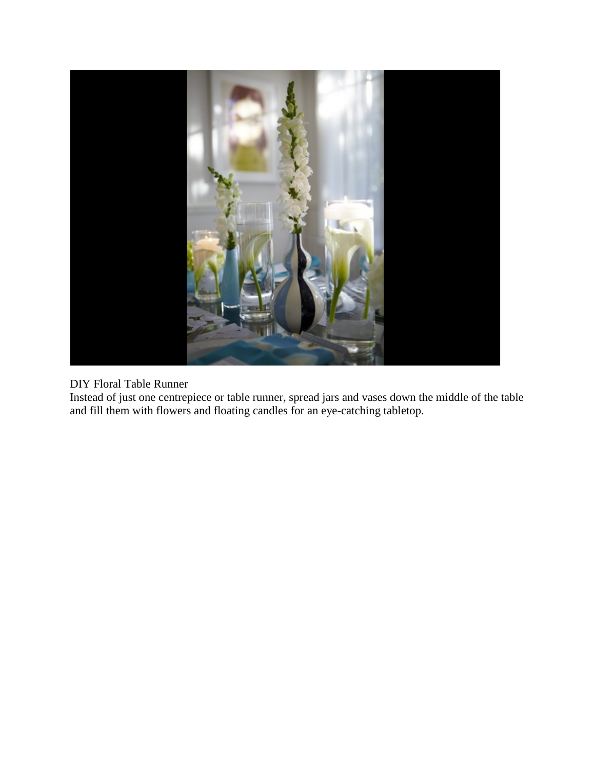

#### DIY Floral Table Runner

Instead of just one centrepiece or table runner, spread jars and vases down the middle of the table and fill them with flowers and floating candles for an eye-catching tabletop.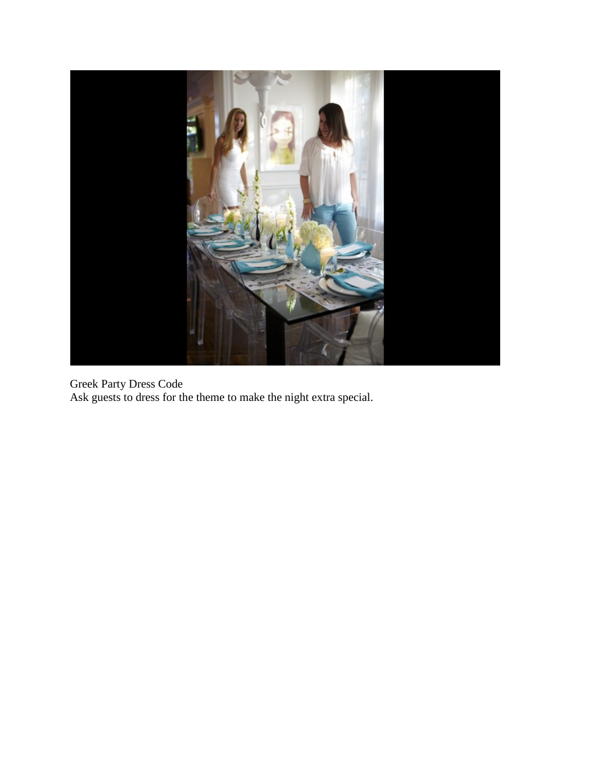

Greek Party Dress Code Ask guests to dress for the theme to make the night extra special.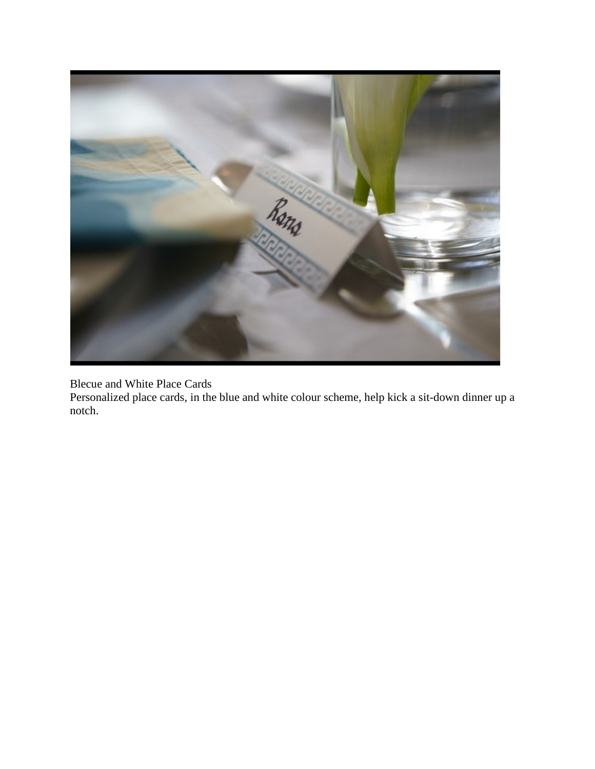

Blecue and White Place Cards

Personalized place cards, in the blue and white colour scheme, help kick a sit-down dinner up a notch.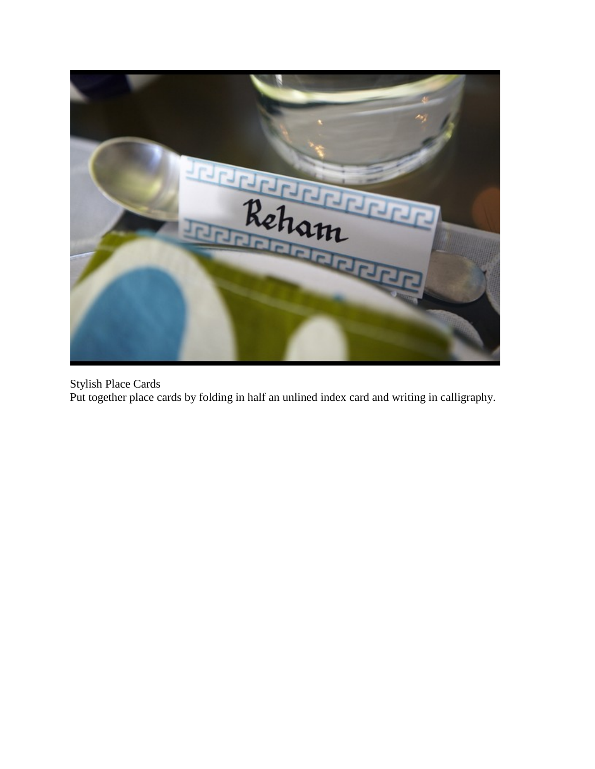

Stylish Place Cards Put together place cards by folding in half an unlined index card and writing in calligraphy.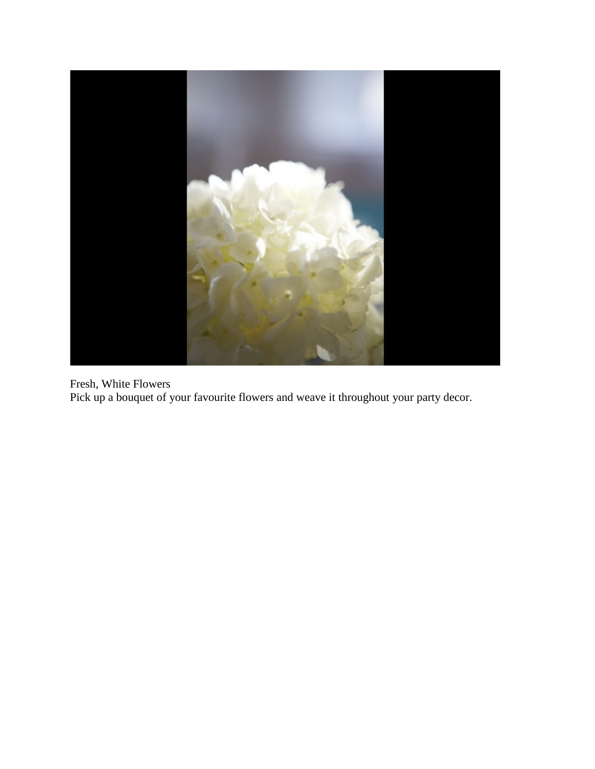

Fresh, White Flowers Pick up a bouquet of your favourite flowers and weave it throughout your party decor.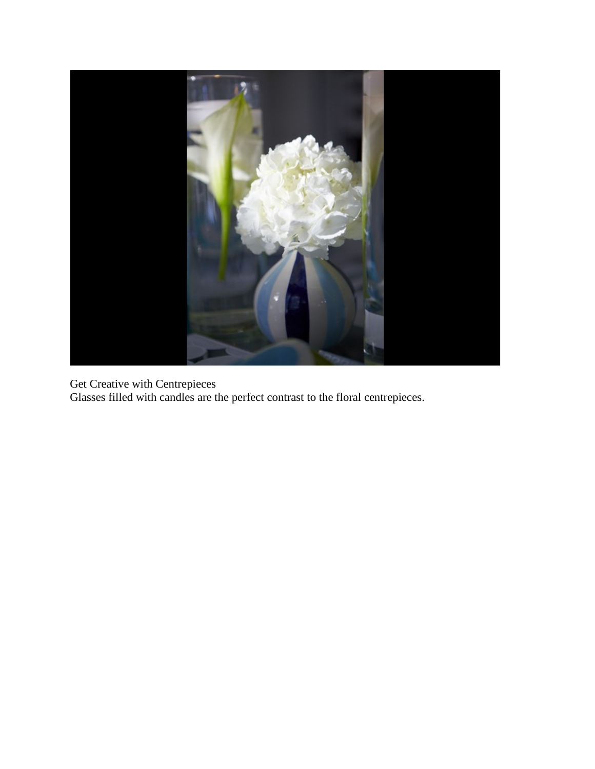

Get Creative with Centrepieces Glasses filled with candles are the perfect contrast to the floral centrepieces.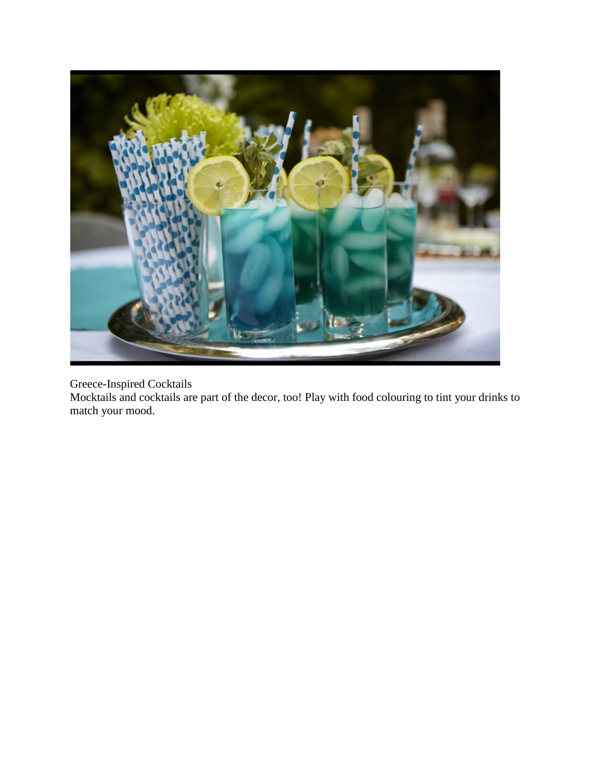

## Greece-Inspired Cocktails

Mocktails and cocktails are part of the decor, too! Play with food colouring to tint your drinks to match your mood.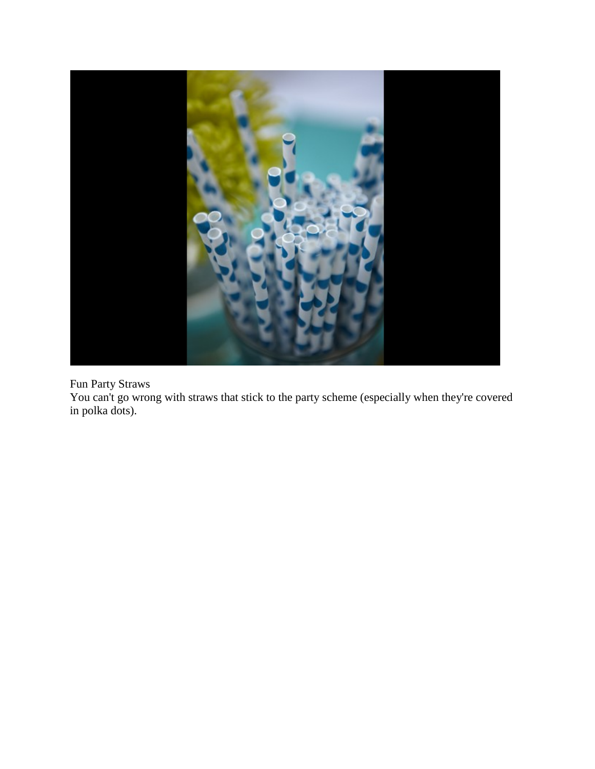

## Fun Party Straws

You can't go wrong with straws that stick to the party scheme (especially when they're covered in polka dots).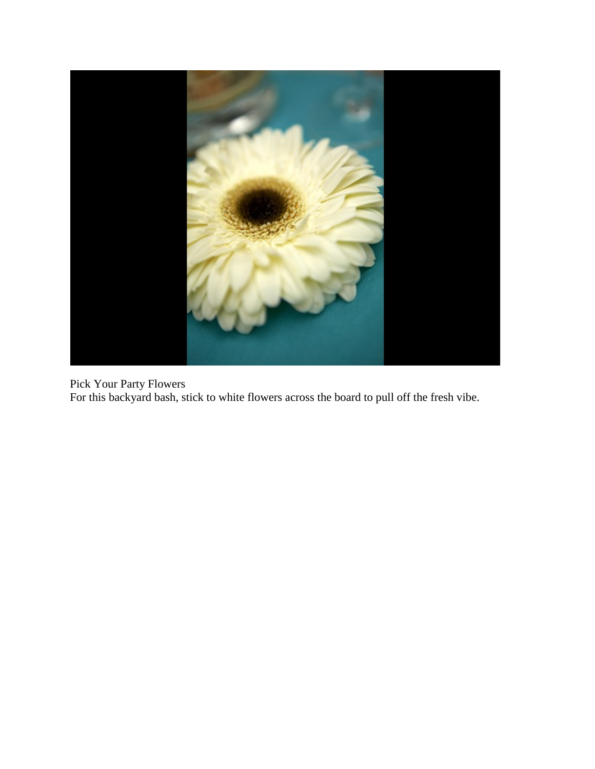

Pick Your Party Flowers For this backyard bash, stick to white flowers across the board to pull off the fresh vibe.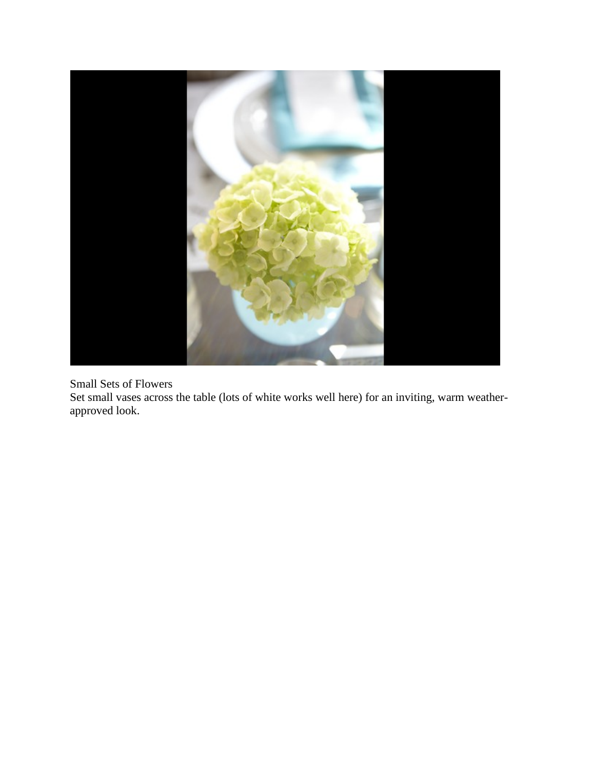

#### Small Sets of Flowers

Set small vases across the table (lots of white works well here) for an inviting, warm weatherapproved look.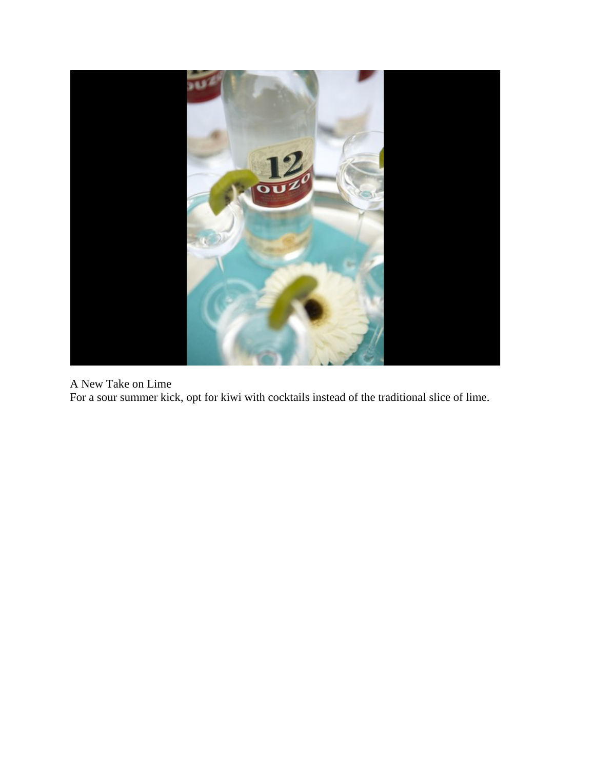

A New Take on Lime

For a sour summer kick, opt for kiwi with cocktails instead of the traditional slice of lime.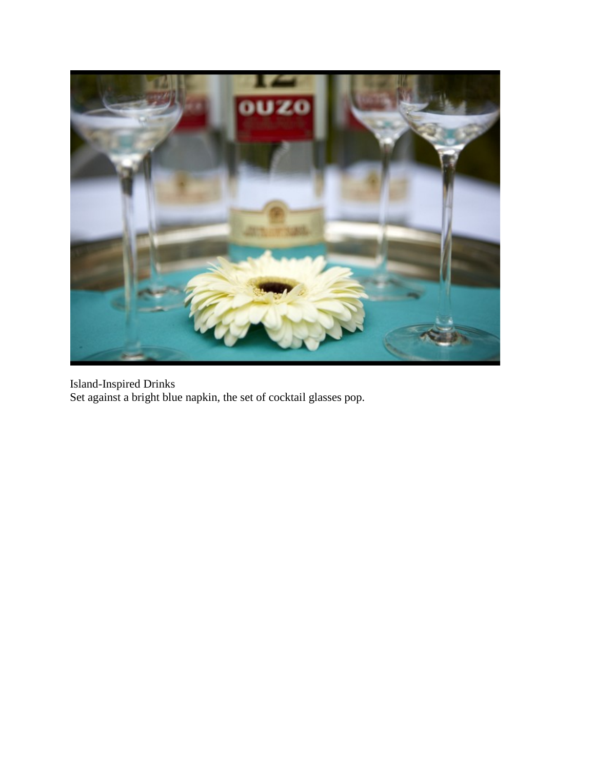

Island-Inspired Drinks Set against a bright blue napkin, the set of cocktail glasses pop.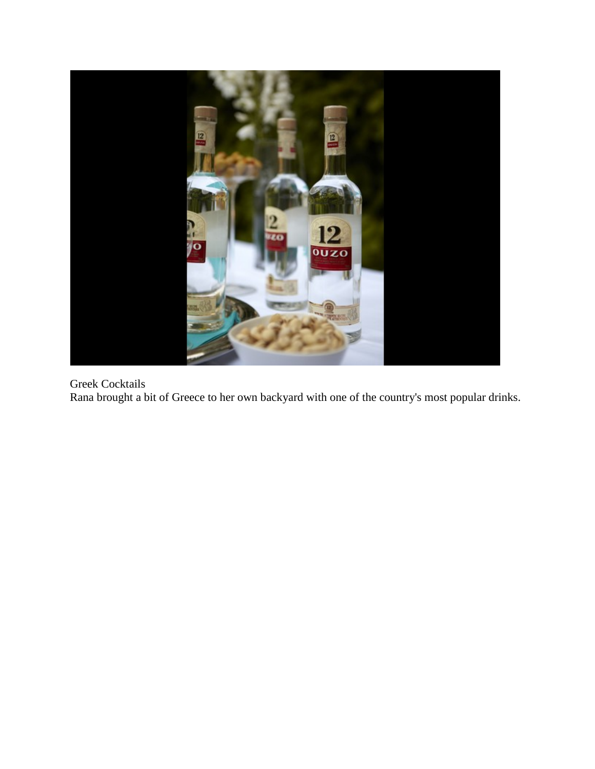

## Greek Cocktails

Rana brought a bit of Greece to her own backyard with one of the country's most popular drinks.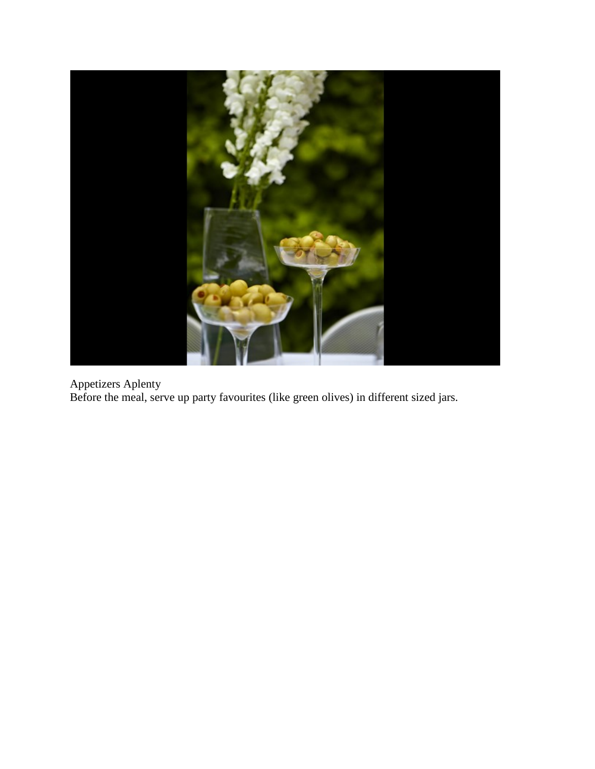

Appetizers Aplenty Before the meal, serve up party favourites (like green olives) in different sized jars.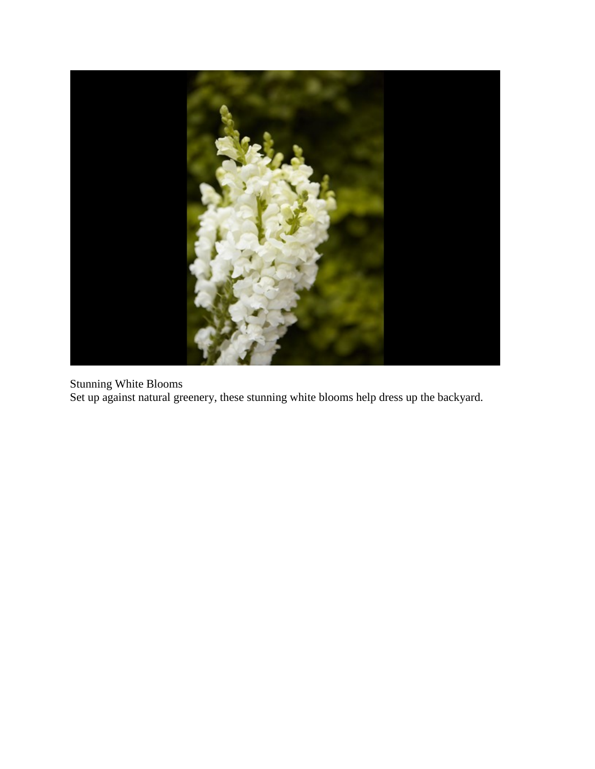

Stunning White Blooms Set up against natural greenery, these stunning white blooms help dress up the backyard.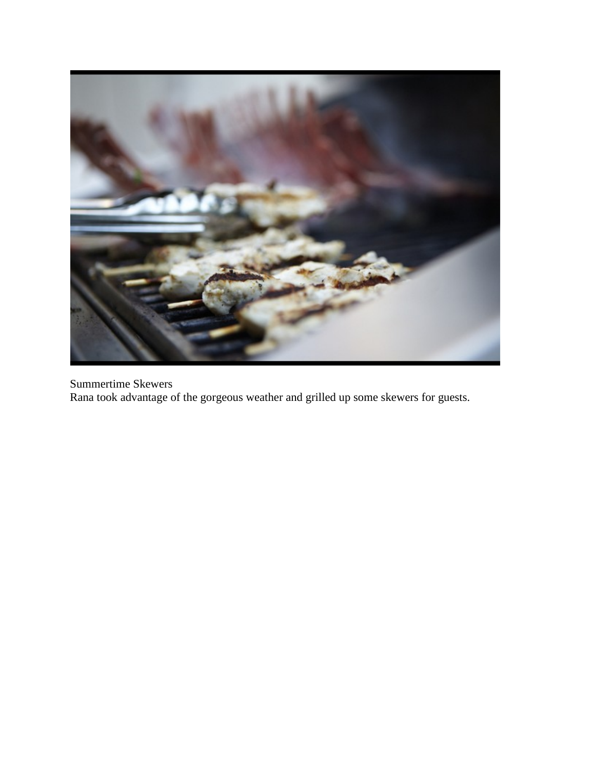

Summertime Skewers Rana took advantage of the gorgeous weather and grilled up some skewers for guests.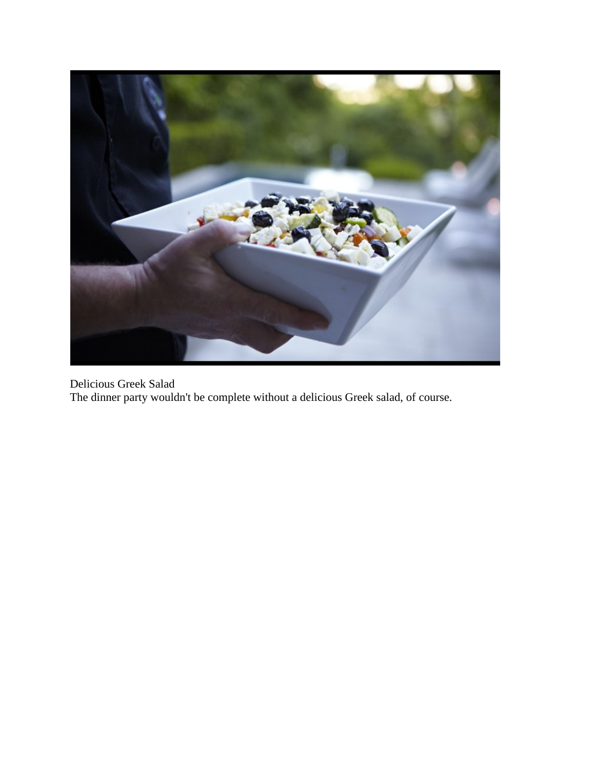

Delicious Greek Salad The dinner party wouldn't be complete without a delicious Greek salad, of course.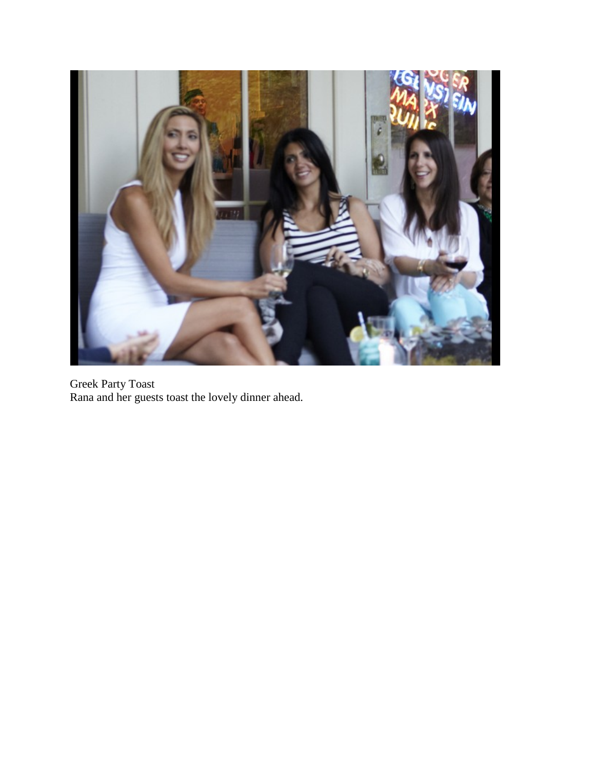

Greek Party Toast Rana and her guests toast the lovely dinner ahead.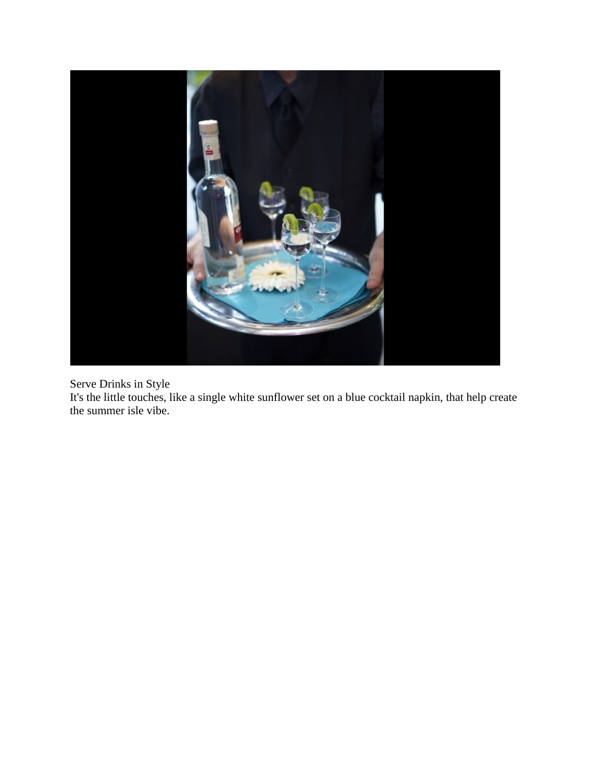

Serve Drinks in Style

It's the little touches, like a single white sunflower set on a blue cocktail napkin, that help create the summer isle vibe.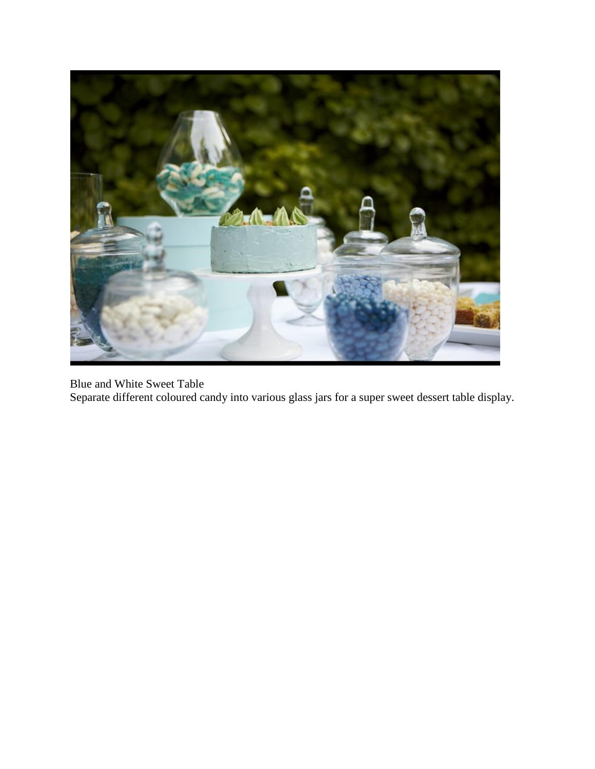

Blue and White Sweet Table Separate different coloured candy into various glass jars for a super sweet dessert table display.